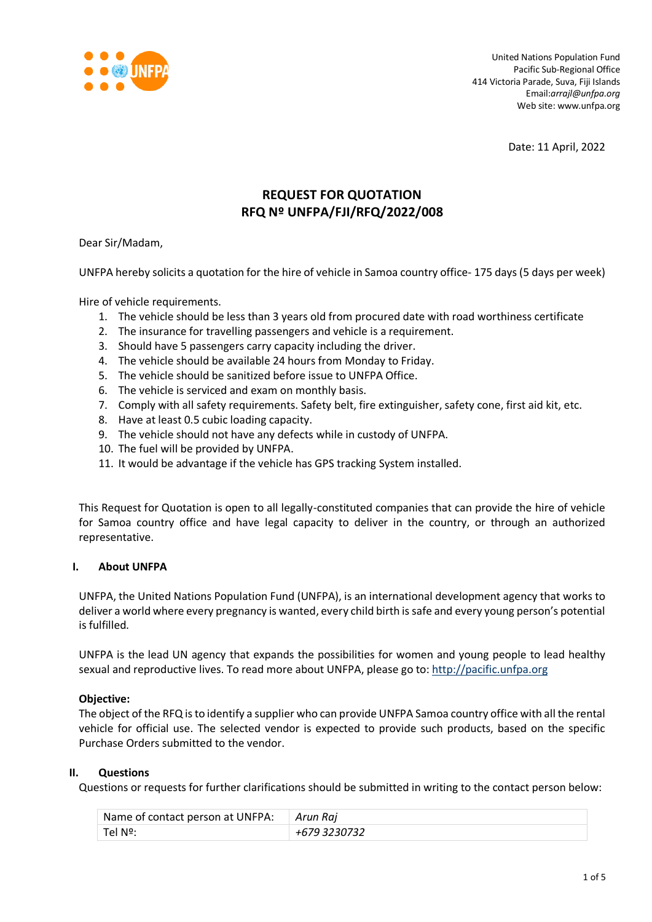

United Nations Population Fund Pacific Sub-Regional Office 414 Victoria Parade, Suva, Fiji Islands Email:*arrajl@unfpa.org* Web site: www.unfpa.org

Date: 11 April, 2022

# **REQUEST FOR QUOTATION RFQ Nº UNFPA/FJI/RFQ/2022/008**

Dear Sir/Madam,

UNFPA hereby solicits a quotation for the hire of vehicle in Samoa country office- 175 days (5 days per week)

Hire of vehicle requirements.

- 1. The vehicle should be less than 3 years old from procured date with road worthiness certificate
- 2. The insurance for travelling passengers and vehicle is a requirement.
- 3. Should have 5 passengers carry capacity including the driver.
- 4. The vehicle should be available 24 hours from Monday to Friday.
- 5. The vehicle should be sanitized before issue to UNFPA Office.
- 6. The vehicle is serviced and exam on monthly basis.
- 7. Comply with all safety requirements. Safety belt, fire extinguisher, safety cone, first aid kit, etc.
- 8. Have at least 0.5 cubic loading capacity.
- 9. The vehicle should not have any defects while in custody of UNFPA.
- 10. The fuel will be provided by UNFPA.
- 11. It would be advantage if the vehicle has GPS tracking System installed.

This Request for Quotation is open to all legally-constituted companies that can provide the hire of vehicle for Samoa country office and have legal capacity to deliver in the country, or through an authorized representative.

#### **I. About UNFPA**

UNFPA, the United Nations Population Fund (UNFPA), is an international development agency that works to deliver a world where every pregnancy is wanted, every child birth is safe and every young person's potential is fulfilled.

UNFPA is the lead UN agency that expands the possibilities for women and young people to lead healthy sexual and reproductive lives. To read more about UNFPA, please go to: [http://pacific.unfpa.org](http://pacific.unfpa.org/)

#### **Objective:**

The object of the RFQ is to identify a supplier who can provide UNFPA Samoa country office with all the rental vehicle for official use. The selected vendor is expected to provide such products, based on the specific Purchase Orders submitted to the vendor.

#### **II. Questions**

Questions or requests for further clarifications should be submitted in writing to the contact person below:

| Name of contact person at UNFPA: Arun Raj |              |
|-------------------------------------------|--------------|
| Tel Nº:                                   | +679 3230732 |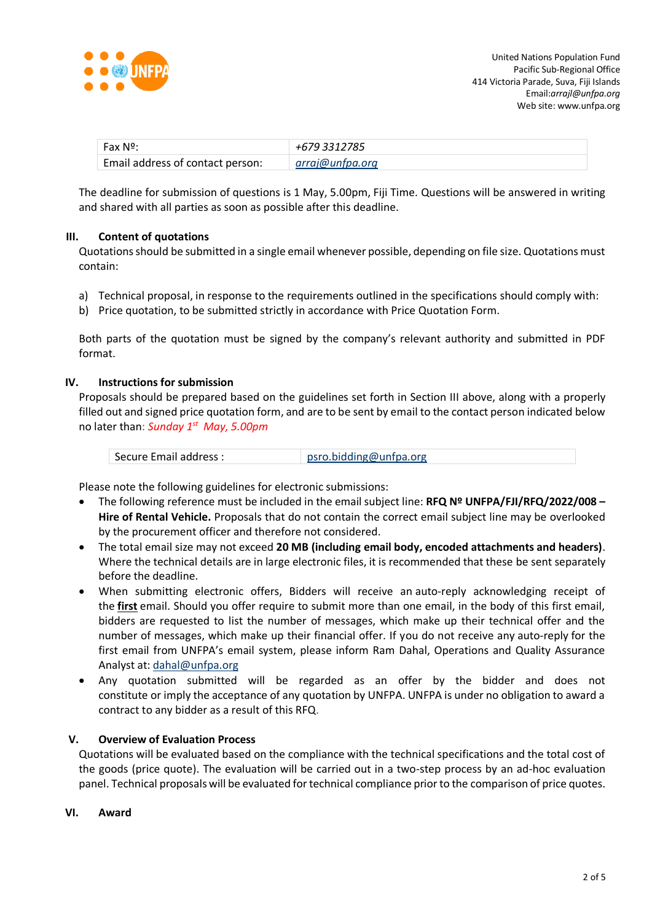

| Fax Nº:                          | +679 3312785    |
|----------------------------------|-----------------|
| Email address of contact person: | arraj@unfpa.org |

The deadline for submission of questions is 1 May, 5.00pm, Fiji Time. Questions will be answered in writing and shared with all parties as soon as possible after this deadline.

# **III. Content of quotations**

Quotations should be submitted in a single email whenever possible, depending on file size. Quotations must contain:

- a) Technical proposal, in response to the requirements outlined in the specifications should comply with:
- b) Price quotation, to be submitted strictly in accordance with Price Quotation Form.

Both parts of the quotation must be signed by the company's relevant authority and submitted in PDF format.

# **IV. Instructions for submission**

Proposals should be prepared based on the guidelines set forth in Section III above, along with a properly filled out and signed price quotation form, and are to be sent by email to the contact person indicated below no later than: *Sunday 1 st May, 5.00pm*

| Secure Email address : | psro.bidding@unfpa.org |  |
|------------------------|------------------------|--|
|------------------------|------------------------|--|

Please note the following guidelines for electronic submissions:

- The following reference must be included in the email subject line: **RFQ Nº UNFPA/FJI/RFQ/2022/008 – Hire of Rental Vehicle.** Proposals that do not contain the correct email subject line may be overlooked by the procurement officer and therefore not considered.
- The total email size may not exceed **20 MB (including email body, encoded attachments and headers)**. Where the technical details are in large electronic files, it is recommended that these be sent separately before the deadline.
- When submitting electronic offers, Bidders will receive an auto-reply acknowledging receipt of the **first** email. Should you offer require to submit more than one email, in the body of this first email, bidders are requested to list the number of messages, which make up their technical offer and the number of messages, which make up their financial offer. If you do not receive any auto-reply for the first email from UNFPA's email system, please inform Ram Dahal, Operations and Quality Assurance Analyst at: [dahal@unfpa.org](mailto:dahal@unfpa.org)
- Any quotation submitted will be regarded as an offer by the bidder and does not constitute or imply the acceptance of any quotation by UNFPA. UNFPA is under no obligation to award a contract to any bidder as a result of this RFQ.

# **V. Overview of Evaluation Process**

Quotations will be evaluated based on the compliance with the technical specifications and the total cost of the goods (price quote). The evaluation will be carried out in a two-step process by an ad-hoc evaluation panel. Technical proposals will be evaluated for technical compliance prior to the comparison of price quotes.

**VI. Award**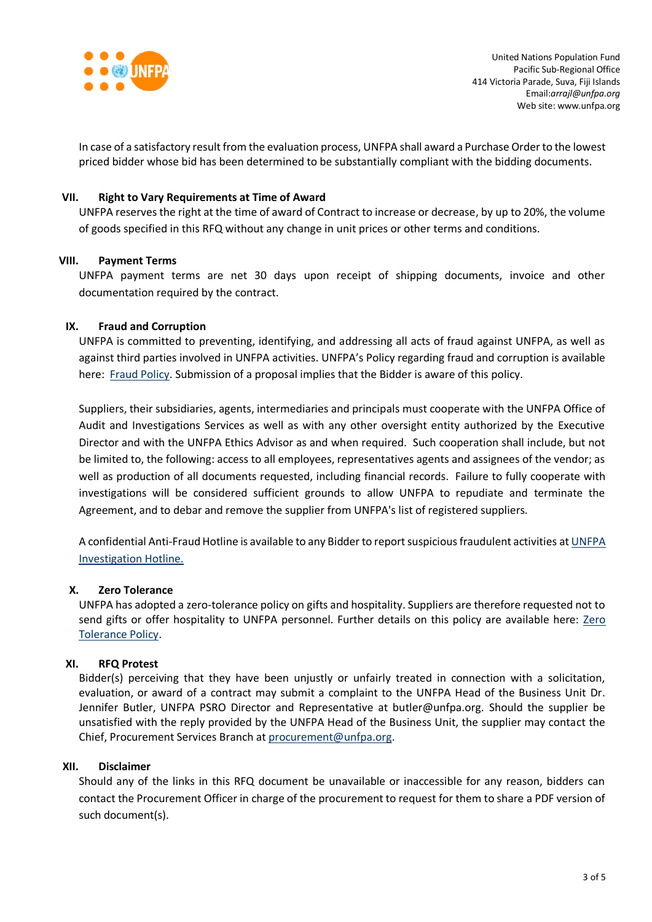

In case of a satisfactory result from the evaluation process, UNFPA shall award a Purchase Order to the lowest priced bidder whose bid has been determined to be substantially compliant with the bidding documents.

# **VII. Right to Vary Requirements at Time of Award**

UNFPA reserves the right at the time of award of Contract to increase or decrease, by up to 20%, the volume of goods specified in this RFQ without any change in unit prices or other terms and conditions.

#### **VIII. Payment Terms**

UNFPA payment terms are net 30 days upon receipt of shipping documents, invoice and other documentation required by the contract.

# **IX. [Fraud and Corruption](http://www.unfpa.org/about-procurement#FraudCorruption)**

UNFPA is committed to preventing, identifying, and addressing all acts of fraud against UNFPA, as well as against third parties involved in UNFPA activities. UNFPA's Policy regarding fraud and corruption is available here: [Fraud Policy.](http://www.unfpa.org/resources/fraud-policy-2009#overlay-context=node/10356/draft) Submission of a proposal implies that the Bidder is aware of this policy.

Suppliers, their subsidiaries, agents, intermediaries and principals must cooperate with the UNFPA Office of Audit and Investigations Services as well as with any other oversight entity authorized by the Executive Director and with the UNFPA Ethics Advisor as and when required. Such cooperation shall include, but not be limited to, the following: access to all employees, representatives agents and assignees of the vendor; as well as production of all documents requested, including financial records. Failure to fully cooperate with investigations will be considered sufficient grounds to allow UNFPA to repudiate and terminate the Agreement, and to debar and remove the supplier from UNFPA's list of registered suppliers.

A confidential Anti-Fraud Hotline is available to any Bidder to report suspicious fraudulent activities a[t UNFPA](http://web2.unfpa.org/help/hotline.cfm)  [Investigation Hotline.](http://web2.unfpa.org/help/hotline.cfm)

#### **X. Zero Tolerance**

UNFPA has adopted a zero-tolerance policy on gifts and hospitality. Suppliers are therefore requested not to send gifts or offer hospitality to UNFPA personnel. Further details on this policy are available here: Zero [Tolerance Policy.](http://www.unfpa.org/about-procurement#ZeroTolerance)

#### **XI. RFQ Protest**

Bidder(s) perceiving that they have been unjustly or unfairly treated in connection with a solicitation, evaluation, or award of a contract may submit a complaint to the UNFPA Head of the Business Unit Dr. Jennifer Butler, UNFPA PSRO Director and Representative at butler@unfpa.org. Should the supplier be unsatisfied with the reply provided by the UNFPA Head of the Business Unit, the supplier may contact the Chief, Procurement Services Branch at [procurement@unfpa.org.](mailto:procurement@unfpa.org)

#### **XII. Disclaimer**

Should any of the links in this RFQ document be unavailable or inaccessible for any reason, bidders can contact the Procurement Officer in charge of the procurement to request for them to share a PDF version of such document(s).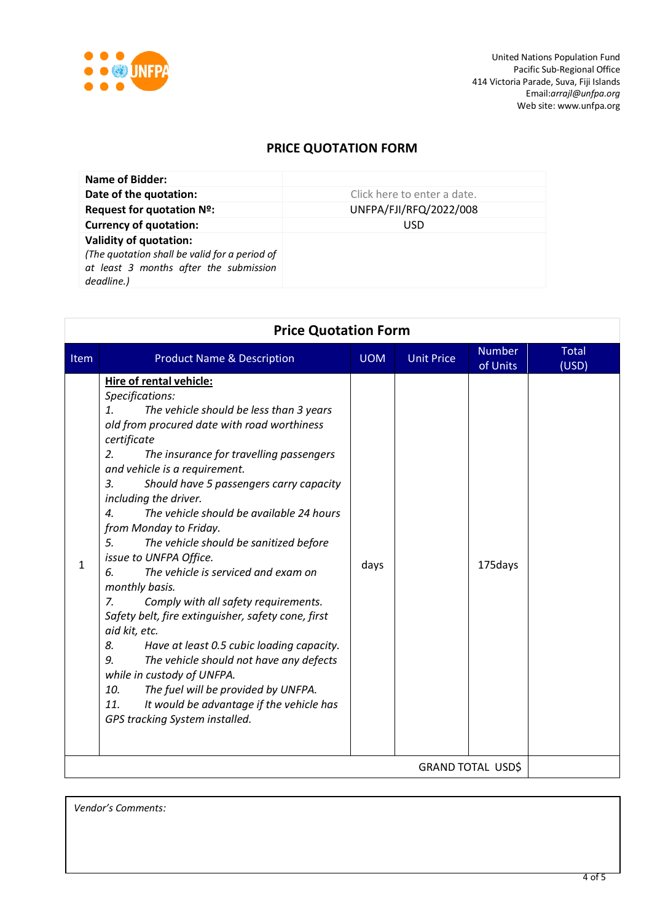

# **PRICE QUOTATION FORM**

| Name of Bidder:                                                                                                                        |                             |
|----------------------------------------------------------------------------------------------------------------------------------------|-----------------------------|
| Date of the quotation:                                                                                                                 | Click here to enter a date. |
| Request for quotation Nº:                                                                                                              | UNFPA/FJI/RFQ/2022/008      |
| <b>Currency of quotation:</b>                                                                                                          | <b>USD</b>                  |
| <b>Validity of quotation:</b><br>(The quotation shall be valid for a period of<br>at least 3 months after the submission<br>deadline.) |                             |

| <b>Price Quotation Form</b> |                                                                                                                                                                                                                                                                                                                                                                                                                                                                                                                                                                                                                                                                                                                                                                                                                                                                                                                                               |            |                   |                           |                       |
|-----------------------------|-----------------------------------------------------------------------------------------------------------------------------------------------------------------------------------------------------------------------------------------------------------------------------------------------------------------------------------------------------------------------------------------------------------------------------------------------------------------------------------------------------------------------------------------------------------------------------------------------------------------------------------------------------------------------------------------------------------------------------------------------------------------------------------------------------------------------------------------------------------------------------------------------------------------------------------------------|------------|-------------------|---------------------------|-----------------------|
| Item                        | <b>Product Name &amp; Description</b>                                                                                                                                                                                                                                                                                                                                                                                                                                                                                                                                                                                                                                                                                                                                                                                                                                                                                                         | <b>UOM</b> | <b>Unit Price</b> | <b>Number</b><br>of Units | <b>Total</b><br>(USD) |
| $\mathbf{1}$                | Hire of rental vehicle:<br>Specifications:<br>The vehicle should be less than 3 years<br>1.<br>old from procured date with road worthiness<br>certificate<br>2.<br>The insurance for travelling passengers<br>and vehicle is a requirement.<br>3.<br>Should have 5 passengers carry capacity<br>including the driver.<br>The vehicle should be available 24 hours<br>4.<br>from Monday to Friday.<br>5.<br>The vehicle should be sanitized before<br>issue to UNFPA Office.<br>The vehicle is serviced and exam on<br>6.<br>monthly basis.<br>$Z_{\rm r}$<br>Comply with all safety requirements.<br>Safety belt, fire extinguisher, safety cone, first<br>aid kit, etc.<br>8.<br>Have at least 0.5 cubic loading capacity.<br>The vehicle should not have any defects<br>9.<br>while in custody of UNFPA.<br>The fuel will be provided by UNFPA.<br>10.<br>It would be advantage if the vehicle has<br>11.<br>GPS tracking System installed. | days       |                   | 175days                   |                       |
| <b>GRAND TOTAL USD\$</b>    |                                                                                                                                                                                                                                                                                                                                                                                                                                                                                                                                                                                                                                                                                                                                                                                                                                                                                                                                               |            |                   |                           |                       |

*Vendor's Comments:*